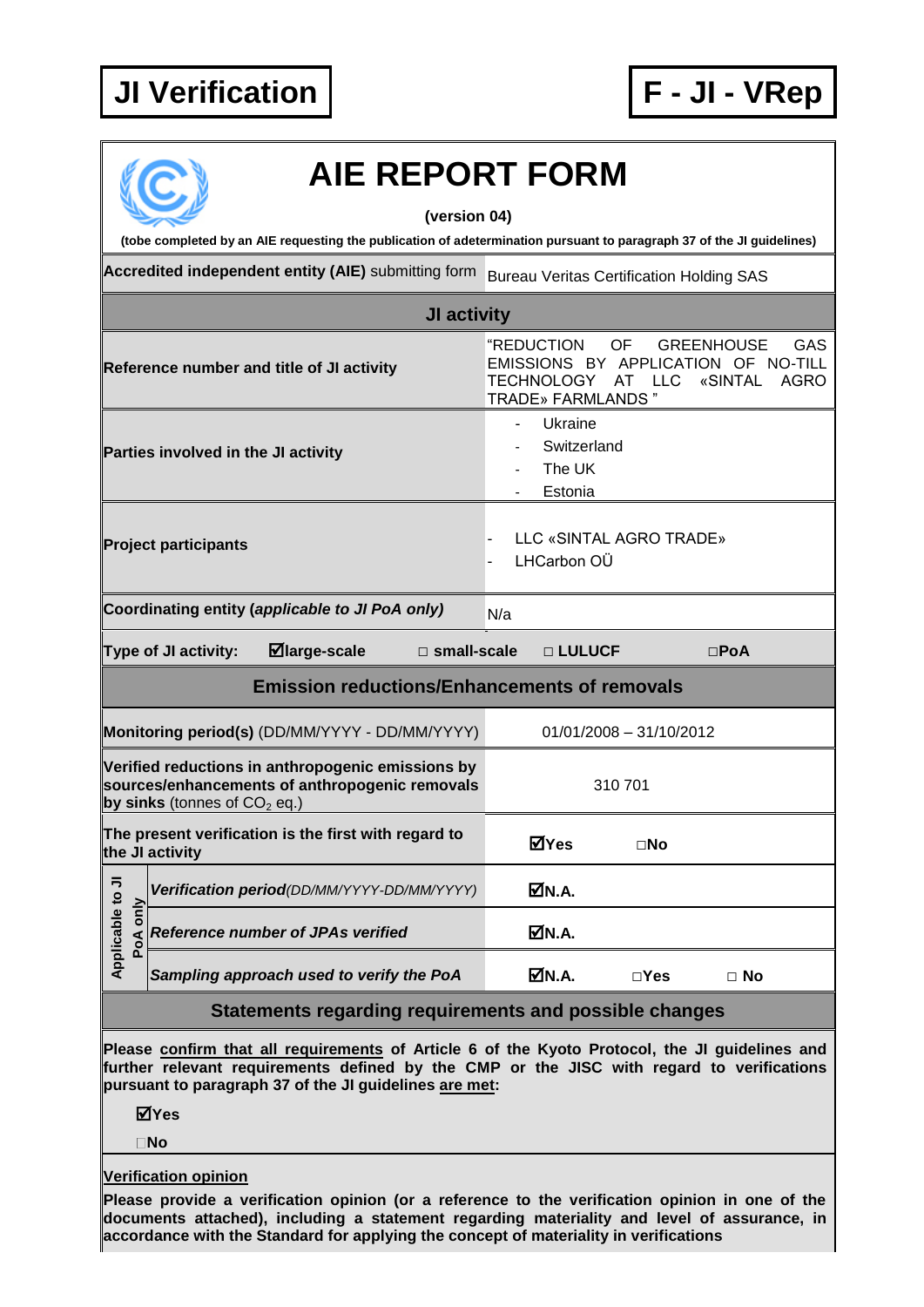## **JI Verification F - JI - VRep**



## **AIE REPORT FORM**

**(version 04)**

**(tobe completed by an AIE requesting the publication of adetermination pursuant to paragraph 37 of the JI guidelines)**

**Accredited independent entity (AIE)** submitting form Bureau Veritas Certification Holding SAS

| JI activity                                                                                                                           |                                                               |                                                                                                                                                                                                                |  |  |  |
|---------------------------------------------------------------------------------------------------------------------------------------|---------------------------------------------------------------|----------------------------------------------------------------------------------------------------------------------------------------------------------------------------------------------------------------|--|--|--|
| Reference number and title of JI activity                                                                                             |                                                               | "REDUCTION<br><b>OF</b><br><b>GAS</b><br><b>GREENHOUSE</b><br>EMISSIONS BY APPLICATION<br>NO-TILL<br>0F<br><b>TECHNOLOGY</b><br><b>AT</b><br><b>LLC</b><br>«SINTAL<br><b>AGRO</b><br><b>TRADE» FARMLANDS "</b> |  |  |  |
| Parties involved in the JI activity                                                                                                   |                                                               | Ukraine<br>Switzerland<br>The UK<br>Estonia                                                                                                                                                                    |  |  |  |
| <b>Project participants</b>                                                                                                           |                                                               | LLC «SINTAL AGRO TRADE»<br>LHCarbon OÜ                                                                                                                                                                         |  |  |  |
| Coordinating entity (applicable to JI PoA only)<br>N/a                                                                                |                                                               |                                                                                                                                                                                                                |  |  |  |
|                                                                                                                                       | ⊠large-scale<br>Type of JI activity:<br>$\square$ small-scale | □ LULUCF<br>$\Box$ PoA                                                                                                                                                                                         |  |  |  |
| <b>Emission reductions/Enhancements of removals</b>                                                                                   |                                                               |                                                                                                                                                                                                                |  |  |  |
|                                                                                                                                       | Monitoring period(s) (DD/MM/YYYY - DD/MM/YYYY)                | $01/01/2008 - 31/10/2012$                                                                                                                                                                                      |  |  |  |
| Verified reductions in anthropogenic emissions by<br>sources/enhancements of anthropogenic removals<br>by sinks (tonnes of $CO2$ eq.) |                                                               | 310701                                                                                                                                                                                                         |  |  |  |
| The present verification is the first with regard to<br>the JI activity                                                               |                                                               | ⊠Yes<br>⊡No                                                                                                                                                                                                    |  |  |  |
| Applicable to JI<br>PoA only                                                                                                          | Verification period(DD/MM/YYYY-DD/MM/YYYY)                    | ØN.A.                                                                                                                                                                                                          |  |  |  |
|                                                                                                                                       | <b>Reference number of JPAs verified</b>                      | ØN.A.                                                                                                                                                                                                          |  |  |  |
|                                                                                                                                       | Sampling approach used to verify the PoA                      | ØN.A.<br>$\square$ Yes<br>$\Box$ No                                                                                                                                                                            |  |  |  |
|                                                                                                                                       | Statements regarding requirements and possible changes        |                                                                                                                                                                                                                |  |  |  |

**Please confirm that all requirements of Article 6 of the Kyoto Protocol, the JI guidelines and further relevant requirements defined by the CMP or the JISC with regard to verifications pursuant to paragraph 37 of the JI guidelines are met:**

**Yes**

**No**

**Verification opinion**

**Please provide a verification opinion (or a reference to the verification opinion in one of the documents attached), including a statement regarding materiality and level of assurance, in accordance with the Standard for applying the concept of materiality in verifications**